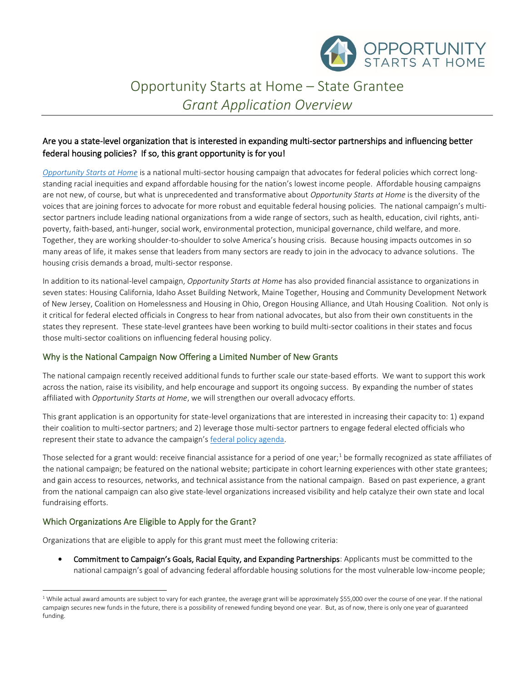

# Opportunity Starts at Home – State Grantee *Grant Application Overview*

## Are you a state-level organization that is interested in expanding multi-sector partnerships and influencing better federal housing policies? If so, this grant opportunity is for you!

*[Opportunity Starts at Home](http://www.opportunityhome.org/)* is a national multi-sector housing campaign that advocates for federal policies which correct longstanding racial inequities and expand affordable housing for the nation's lowest income people. Affordable housing campaigns are not new, of course, but what is unprecedented and transformative about *Opportunity Starts at Home* is the diversity of the voices that are joining forces to advocate for more robust and equitable federal housing policies. The national campaign's multisector partners include leading national organizations from a wide range of sectors, such as health, education, civil rights, antipoverty, faith-based, anti-hunger, social work, environmental protection, municipal governance, child welfare, and more. Together, they are working shoulder-to-shoulder to solve America's housing crisis. Because housing impacts outcomes in so many areas of life, it makes sense that leaders from many sectors are ready to join in the advocacy to advance solutions. The housing crisis demands a broad, multi-sector response.

In addition to its national-level campaign, *Opportunity Starts at Home* has also provided financial assistance to organizations in seven states: Housing California, Idaho Asset Building Network, Maine Together, Housing and Community Development Network of New Jersey, Coalition on Homelessness and Housing in Ohio, Oregon Housing Alliance, and Utah Housing Coalition. Not only is it critical for federal elected officials in Congress to hear from national advocates, but also from their own constituents in the states they represent. These state-level grantees have been working to build multi-sector coalitions in their states and focus those multi-sector coalitions on influencing federal housing policy.

### Why is the National Campaign Now Offering a Limited Number of New Grants

The national campaign recently received additional funds to further scale our state-based efforts. We want to support this work across the nation, raise its visibility, and help encourage and support its ongoing success. By expanding the number of states affiliated with *Opportunity Starts at Home*, we will strengthen our overall advocacy efforts.

This grant application is an opportunity for state-level organizations that are interested in increasing their capacity to: 1) expand their coalition to multi-sector partners; and 2) leverage those multi-sector partners to engage federal elected officials who represent their state to advance the campaign's [federal policy agenda.](https://nlihc.org/sites/default/files/OSAH_Policy-Agenda.pdf)

Those selected for a grant would: receive financial assistance for a period of one year;<sup>1</sup> be formally recognized as state affiliates of the national campaign; be featured on the national website; participate in cohort learning experiences with other state grantees; and gain access to resources, networks, and technical assistance from the national campaign. Based on past experience, a grant from the national campaign can also give state-level organizations increased visibility and help catalyze their own state and local fundraising efforts.

## Which Organizations Are Eligible to Apply for the Grant?

Organizations that are eligible to apply for this grant must meet the following criteria:

• Commitment to Campaign's Goals, Racial Equity, and Expanding Partnerships: Applicants must be committed to the national campaign's goal of advancing federal affordable housing solutions for the most vulnerable low-income people;

<sup>&</sup>lt;sup>1</sup> While actual award amounts are subject to vary for each grantee, the average grant will be approximately \$55,000 over the course of one year. If the national campaign secures new funds in the future, there is a possibility of renewed funding beyond one year. But, as of now, there is only one year of guaranteed funding.